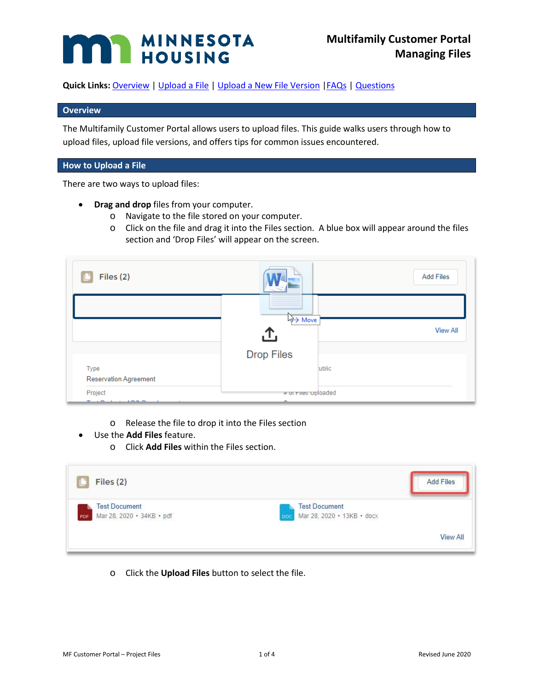# **MAN MINNESOTA**

**Quick Links:** Overview | [Upload a File](#page-0-0) [| Upload a New File Version](#page-1-0) [|FAQs](#page-2-0) | [Questions](#page-3-0)

# **Overview**

The Multifamily Customer Portal allows users to upload files. This guide walks users through how to upload files, upload file versions, and offers tips for common issues encountered.

# <span id="page-0-0"></span>**How to Upload a File**

There are two ways to upload files:

- **Drag and drop** files from your computer.
	- o Navigate to the file stored on your computer.
	- o Click on the file and drag it into the Files section. A blue box will appear around the files section and 'Drop Files' will appear on the screen.

| Files (2)                     |                     | <b>Add Files</b> |
|-------------------------------|---------------------|------------------|
|                               | Wove                |                  |
|                               | .ጉ.                 | <b>View All</b>  |
|                               | <b>Drop Files</b>   |                  |
| Type<br>Reservation Agreement | ublic               |                  |
| Project                       | # or Fires oploaded |                  |

- o Release the file to drop it into the Files section
- Use the **Add Files** feature.
	- o Click **Add Files** within the Files section.

| Files (2)                                                | <b>Add Files</b>                                          |
|----------------------------------------------------------|-----------------------------------------------------------|
| <b>Test Document</b><br>Mar 28, 2020 · 34KB · pdf<br>PDF | <b>Test Document</b><br>Mar 28, 2020 • 13KB • docx<br>DOC |
|                                                          | <b>View All</b>                                           |

o Click the **Upload Files** button to select the file.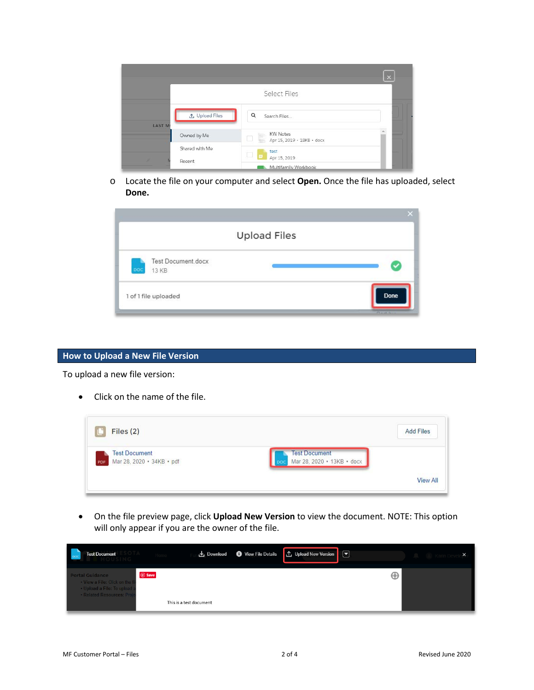|                                 |                                                                          | $\times$ |
|---------------------------------|--------------------------------------------------------------------------|----------|
|                                 | Select Files                                                             |          |
| <b>△</b> Upload Files<br>LAST M | Q<br>Search Files                                                        |          |
| Owned by Me                     | <b>KW Notes</b><br>==== KW Notes<br>==== Apr 15, 2019 + 18KB + docx<br>u |          |
| Shared with Me<br>Recent        | test<br>O<br>$\Box$<br>Apr 15, 2019<br>Multifamily Workbook              |          |

o Locate the file on your computer and select **Open.** Once the file has uploaded, select **Done.**

| <b>Upload Files</b>                       |             |
|-------------------------------------------|-------------|
| <b>Test Document docx</b><br>poc<br>13 KB |             |
| 1 of 1 file uploaded                      | <b>Done</b> |

# <span id="page-1-0"></span>**How to Upload a New File Version**

To upload a new file version:

• Click on the name of the file.



• On the file preview page, click **Upload New Version** to view the document. NOTE: This option will only appear if you are the owner of the file.

| <b>Test Document</b>                                                                                                  |                                                   | Download View File Details | <b>4</b> 1 Upload New Version <b>Ⅰ</b> |   |  |
|-----------------------------------------------------------------------------------------------------------------------|---------------------------------------------------|----------------------------|----------------------------------------|---|--|
| <b>Portal Guidance</b><br>• View a File: Click on the f<br>• Upload a File: To upload a<br>· Related Resources: Proie | <b><i>(p)</i></b> Save<br>This is a test document |                            |                                        | Θ |  |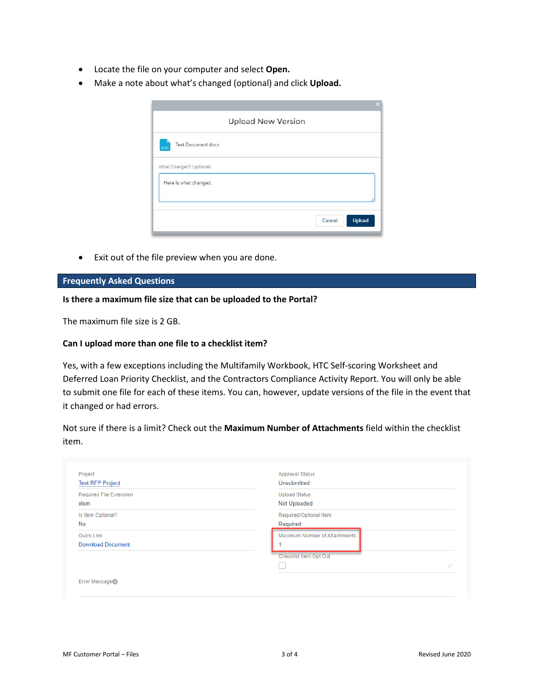- Locate the file on your computer and select **Open.**
- Make a note about what's changed (optional) and click **Upload.**

|                           | <b>Upload New Version</b> |  |        |               |
|---------------------------|---------------------------|--|--------|---------------|
| Test Document.docx<br>boc |                           |  |        |               |
| What Changed? (optional)  |                           |  |        |               |
| Here is what changed.     |                           |  |        |               |
|                           |                           |  |        |               |
|                           |                           |  | Cancel | <b>Upload</b> |

• Exit out of the file preview when you are done.

#### <span id="page-2-0"></span>**Frequently Asked Questions**

#### **Is there a maximum file size that can be uploaded to the Portal?**

The maximum file size is 2 GB.

#### **Can I upload more than one file to a checklist item?**

Yes, with a few exceptions including the Multifamily Workbook, HTC Self-scoring Worksheet and Deferred Loan Priority Checklist, and the Contractors Compliance Activity Report. You will only be able to submit one file for each of these items. You can, however, update versions of the file in the event that it changed or had errors.

Not sure if there is a limit? Check out the **Maximum Number of Attachments** field within the checklist item.

| Project<br><b>Test RFP Project</b> | <b>Approval Status</b><br>Unsubmitted |  |
|------------------------------------|---------------------------------------|--|
| Required File Extension            | <b>Upload Status</b>                  |  |
| xlsm                               | Not Uploaded                          |  |
| Is Item Optional?                  | Required/Optional Item                |  |
| No                                 | Required                              |  |
| Quick Link                         | Maximum Number of Attachments         |  |
| <b>Download Document</b>           |                                       |  |
|                                    | Checklist Item Opt Out                |  |
|                                    |                                       |  |
|                                    |                                       |  |
| Error Message                      |                                       |  |